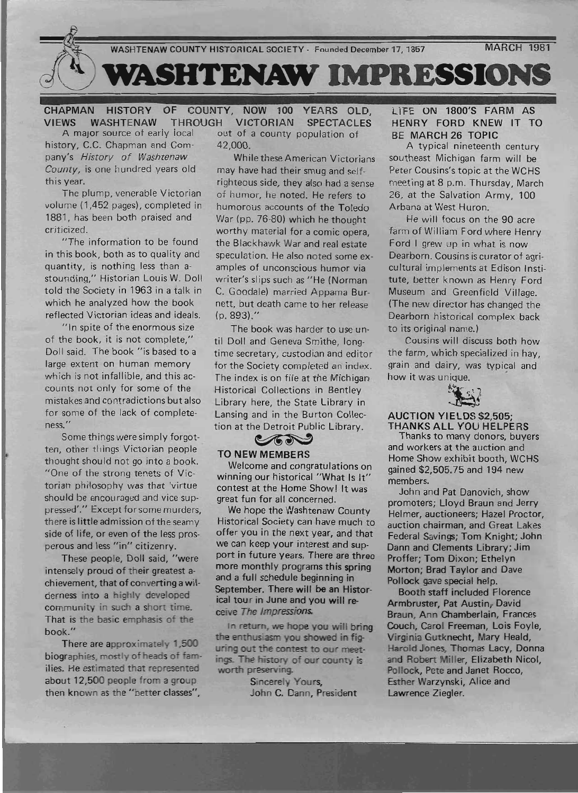

CHAPMAN HISTORY OF COUNTY, NOW 100 YEARS OLD, VIEWS WASHTENAW THROUGH VICTORIAN SPECTACLES<br>A major source of early local out of a county population of out of a county population of history, C.C. Chapman and Com-42,000.

pany's History of Washtenaw While these American Victorians County, is one hundred years old may have had their smug and self-

volume (1,452 pages), completed in humorous accounts of the Toledo 1881, has been both praised and War (pp. 76-80) which he thought

in this book, both as to quality and speculation. He also noted some exquantity, is nothing less than a- amples of unconscious humor via stounding," Historian Louis W. Doll writer's slips such as "He (Norman told the Society in 1963 in a talk in C. Goodale) married Appama Burwhich he analyzed how the book nett, but death came to her release reflected Victorian ideas and ideals. (p. 893)."

"In spite of the enormous size of the book, it is not complete," Doll said. The book "is based to a large extent on human memory which is not infallible, and this accounts not only for some of the mistakes and contradictions but also for some of the lack of completeness. "

Some things were simply forgotten, other things Victorian people thought should not go into a book. "One of the strong tenets of Victorian philosophy was that 'virtue should be encouraged and vice suppressed'." Except for some murders, there is little admission of the seamy side of life, or even of the less prosperous and less "in" citizenry.

These people, Doll said, "were intensely proud of their greatest ach ievement, that of converting a wilderness into a highly developed community in such a short time. That is the basic emphasis of the book."

There are approximately 1,500 biographies, mostly of heads of families. He estimated that represented about 12,500 people from a group then known as the "better classes",

- --~

--." . -- .'

this year. This year. This year. The plump, venerable Victorian of humor, he noted. He refers to criticized. worthy material for a comic opera, the Blackhawk War and real estate

> The book was harder to use until Doll and Geneva Smithe, longtime secretary, custodian and editor for the Society completed an index. The index is on file at the Michigan Historical Collections in Bentley Library here, the State Library in Lansing and in the Burton Collection at the Detroit Public Library. nere, the State Library in<br>and in the Burton Collection<br>the Detroit Public Library.<br>WIMEMBERS

## TO NEW MEMBERS

Welcome and congratulations on winning our historical "What Is It" contest at the Home Show! It was great fun for all concerned.

We hope the Washtenaw County Historical Society can have much to offer you in the next year, and that we can keep your interest and support in future years. There are three more monthly programs this spring and a full schedule beginning in September. There will be an Historical tour in June and you will receive *The Impressions.* 

In return, we hope you will bring the enthusiasm you showed in figuring out the contest to our meetings. The history of our county is worth preserving.

> Sincerely Yours, John C. Dann, President

LIFE ON 1800'S FARM AS HENRY FORD KNEW IT TO BE MARCH 26 TOPIC

A typical nineteenth century southeast Michigan farm will be Peter Cousins's topic at the WCHS meeting at 8 p.m. Thursday, March 26, at the Salvation Army, 100 Arbana at West Huron.

He will focus on the 90 acre farm of William Ford where Henry Ford I grew up in what is now Dearborn. Cousins is curator of agricultural implements at Edison Institute, better known as Henry Ford Museum and Greenfield Village. (The new director has changed the Dearborn historical complex back to its original name.)

Cousins will discuss both how the farm, which specialized in hay, grain and dairy, was typical and how it was unique. '



#### AUCTION YIELDS \$2,505; THANKS ALL YOU HELPERS

Thanks to many donors, buyers and workers at the auction and Home Show exhibit booth, WCHS gained \$2,505.75 and 194 new members.

John and Pat Danovich, show promoters; Lloyd Braun and Jerry Helmer, auctioneers; Hazel Proctor, auction chairman, and Great Lakes Federal Savings; Tom Knight; John Dann and Clements Library; Jim Proffer; Tom Dixon; Ethelyn Morton; Brad Taylor and Dave Pollock gave special help.

Booth staff included Florence Armbruster, Pat Austin, David Braun, Ann Chamberlain, Frances Couch, Carol Freeman, Lois Foyle, Virginia Gutknecht, Mary Heald, Harold Jones, Thomas Lacy, Donna and Robert Miller, Elizabeth Nicol, Pollock, Pete and Janet Rocco, Esther Warzynski, Alice and Lawrence Ziegler. ing in<br>
Pollock gave special help.<br>
will re-<br>
Booth staff included Florence<br>
will bring<br>
Braun, Ann Chamberlain, Frances<br>
will bring<br>
Couch, Carol Freeman, Lois Foyle,<br>
in fig-<br>
Virginia Gutkneeht, Mary Heald,<br>
ur meet:<br>
a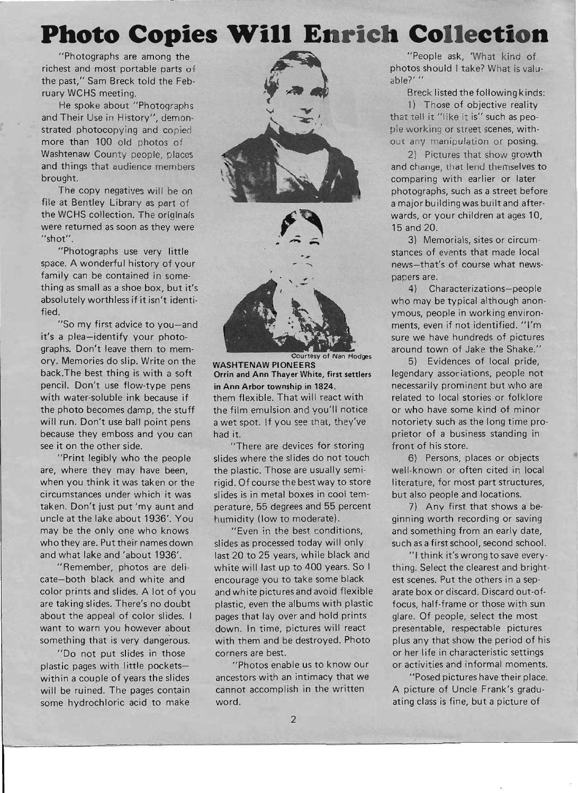# **Photo Copies Will Enrich Collection**

"Photographs are among the <sup>~</sup> richest and most portable parts of the past," Sam Breck told the February WCHS meeting.

He spoke about "Photographs and Their Use in History", demonstrated photocopying and copied more than 100 old photos of Washtenaw County people, places and things that audience members brought.

The copy negatives will be on file at Bentley Library as part of the WCHS collection. The originals were returned as soon as they were "shot".

"Photographs use very little space. A wonderful history of your family can be contained in something as small as a shoe box, but it's absolutely worthless if it isn't identified.

"So my first advice to you-and it's a plea-identify your photographs. Don't leave them to memory. Memories do slip. Write on the back.The best thing is with a soft pencil. Don't use flow-type pens with water-soluble ink because if the photo becomes damp, the stuff will run. Don't use ball point pens because they emboss and you can see it on the other side.

"Print legibly who the people are, where they may have been, when you think it was taken or the circumstances under which it was taken. Don't just put 'my aunt and uncle at the lake about 1936'. You may be the only one who knows who they are. Put their names down and what lake and 'about 1936'.

"Remember, photos are delicate-both black and white and color prints and slides. A lot of you are taking slides. There's no doubt about the appeal of color slides. I want to warn you however about something that is very dangerous.

"Do not put slides in those plastic pages with little pocketswithin a couple of years the slides will be ruined. The pages contain some hydrochloric acid to make



Courtesy of Nan Hodges

WASHTENAW PIONEERS Orrin and Ann Thayer White, first settlers in Ann Arbor township in 1824. them flexible. That will react with the film emulsion and you'll notice a wet spot. If you see that, they've had it.

"There are devices for storing slides where the slides do not touch the plastic. Those are usually semirigid. Of course the best way to store slides is in metal boxes in cool temperature, 55 degrees and 55 percent humidity (low to moderate).

"Even in the best conditions, slides as processed today will only last 20 to 25 years, while black and white will last up to 400 years. So I encourage you to take some black and white pictures and avoid flexible plastic, even the albums with plastic pages that lay over and hold prints down. In time, pictures will react with them and be destroyed. Photo corners are best.

"Photos enable us to know our ancestors with an intimacy that we cannot accomplish in the written word.

"People ask, 'What kind of photos should I take? What is valuable?' "

Breck listed the following kinds:

1) Those of objective reality that tell it "like it is" such as people working or street scenes, without any manipulation or posing.

2) Pictures that show growth and change, that lend themselves to comparing with earlier or later photographs, such as a street before a major building was built and afterwards, or your children at ages 10, 15 and 20.

3) Memorials, sites or circumstances of events that made local news-that's of course what newspapers are.

4) Characterizations-people who may be typical although anonymous, people in working environments, even if not identified. "I'm sure we have hundreds of pictures around town of Jake the Shake."

5) Evidences of local pride, legendary associations, people not necessarily prominent but who are related to local stories or folklore or who have some kind of minor notoriety such as the long time proprietor of a business standing in front of his store.

6) Persons, places or objects well-known or often cited in local literature, for most part structures, but also people and locations.

7) Any first that shows a beginning worth recording or saving and something from an early date, such as a first school, second school.

"1 think it'swrongtosave everything. Select the clearest and brightest scenes. Put the others in a separate box or discard. Discard out-offocus, half-frame or those with sun glare. Of people, select the most presentable, respectable pictures plus any that show the period of his or her life in characteristic settings or activities and informal moments.

"Posed pictures have their place. A picture of Uncle Frank's graduating class is fine, but a picture of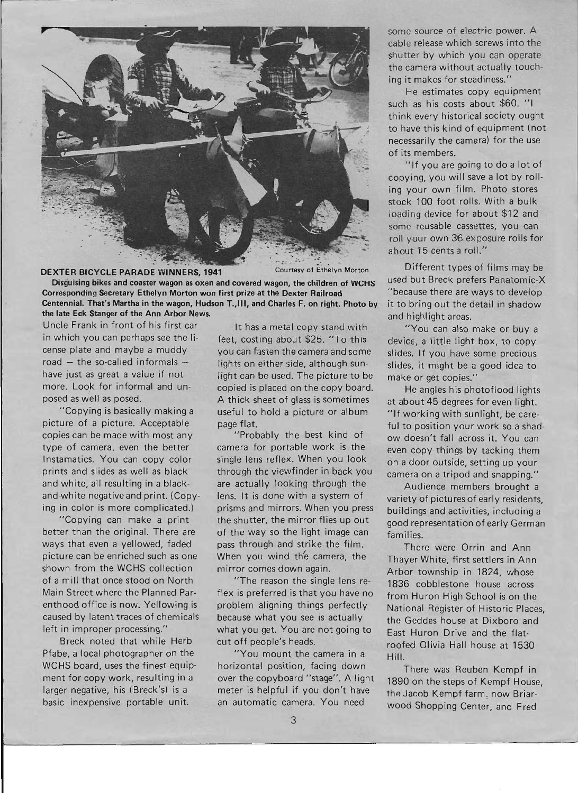

## DEXTER BICYCLE PARADE WINNERS, 1941 Courtesy of Ethelyn Morton

Disguising bikes and coaster wagon as oxen and covered wagon, the children of WCHS Corresponding Secretary Ethelyn Morton won first prize at the Dexter Railroad Centennial. That's Martha in the wagon, Hudson T.,III, and Charles F. on right. Photo by the late Eck Stanger of the Ann Arbor News.

Uncle Frank in front of his first car in which you can perhaps see the license plate and maybe a muddy road  $-$  the so-called informals  $$ have just as great a value if not more. Look for informal and unposed as well as posed.

"Copying is basically making a picture of a picture. Acceptable copies can be made with most any type of camera, even the better Instamatics. You can copy color prints and slides as well as black and white, all resulting in a blackand-white negative and print. (Copying in color is more complicated.)

"Copying can make a print better than the original. There are ways that even a yellowed, faded picture can be enriched such as one shown from the WCHS collection of a mill that once stood on North Main Street where the Planned Parenthood office is now. Yellowing is caused by latent traces of chemicals left in improper processing."

Breck noted that while Herb Pfabe, a local photographer on the WCHS board, uses the finest equipment for copy work, resulting in a larger negative, his (Breck's) is a basic inexpensive portable unit.

It has a metal copy stand with feet, costing about \$25. "To this you can fasten the camera and some lights on either side, although sunlight can be used. The picture to be copied is placed on the copy board. A thick sheet of glass is sometimes useful to hold a picture or album page flat.

"Probably the best kind of camera for portable work is the single lens reflex. When you look through the viewfinder in back you are actually looking through the lens. It is done with a system of prisms and mirrors. When you press the shutter, the mirror flies up out of the way so the light image can pass through and strike the film. When you wind the camera, the mirror comes down again.

"The reason the single lens reflex is preferred is that you have no problem aligning things perfectly because what you see is actually what you get. You are not going to cut off people's heads.

"You mount the camera in a horizontal position, facing down over the copyboard "stage". A light meter is helpful if you don't have an automatic camera. You need

some source of electric power. A cable release which screws into the shutter by which you can operate the camera without actually touching it makes for steadiness."

He estimates copy equipment such as his costs about \$60. "I think every historical society ought to have this kind of equipment (not necessarily the camera) for the use of its members.

"If you are going to do a lot of copying, you will save a lot by roiling your own film. Photo stores stock 100 foot rolls. With a bulk loading device for about \$12 and some reusable cassettes, you can roll your own 36 exposure rolls for about 15 cents a roll."

Different types of films may be used but Breck prefers Panatomic-X "because there are ways to develop it to bring out the detail in shadow and highlight areas.

"You can also make or buy a device, a little light box, to copy slides. If you have some precious slides, it might be a good idea to make or get copies."

He angles his photoflood lights at about 45 degrees for even light. "If working with sunlight, be careful to position your work so a shadow doesn't fall across it. You can even copy things by tacking them on a door outside, setting up your camera on a tripod and snapping."

Audience members brought a variety of pictures of early residents, buildings and activities, including a good representation of early German families.

There were Orrin and Ann Thayer White, first settlers in Ann Arbor township in 1824, whose 1836 cobblestone house across from Huron High School is on the National Register of Historic Places, the Geddes house at Dixboro and East Huron Drive and the flatroofed Olivia Hall house at 1530 Hill.

There was Reuben Kempf in 1890 on the steps of Kempf House, the Jacob Kempf farm, now Briarwood Shopping Center, and Fred